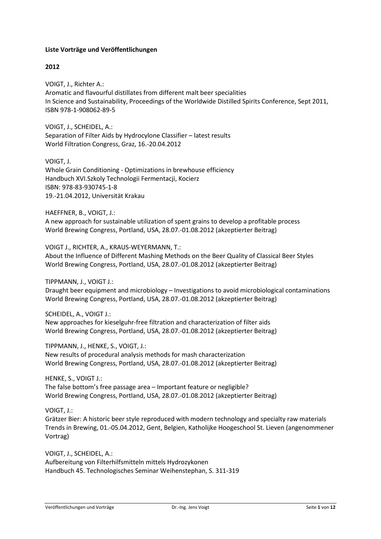## **Liste Vorträge und Veröffentlichungen**

# **2012**

VOIGT, J., Richter A.: Aromatic and flavourful distillates from different malt beer specialities In Science and Sustainability, Proceedings of the Worldwide Distilled Spirits Conference, Sept 2011, ISBN 978-1-908062-89-5

VOIGT, J., SCHEIDEL, A.: Separation of Filter Aids by Hydrocylone Classifier – latest results World Filtration Congress, Graz, 16.-20.04.2012

VOIGT, J. Whole Grain Conditioning - Optimizations in brewhouse efficiency Handbuch XVI.Szkoly Technologii Fermentacji, Kocierz ISBN: 978-83-930745-1-8 19.-21.04.2012, Universität Krakau

HAEFFNER, B., VOIGT, J.: A new approach for sustainable utilization of spent grains to develop a profitable process World Brewing Congress, Portland, USA, 28.07.-01.08.2012 (akzeptierter Beitrag)

VOIGT J., RICHTER, A., KRAUS-WEYERMANN, T.: About the Influence of Different Mashing Methods on the Beer Quality of Classical Beer Styles World Brewing Congress, Portland, USA, 28.07.-01.08.2012 (akzeptierter Beitrag)

TIPPMANN, J., VOIGT J.:

Draught beer equipment and microbiology – Investigations to avoid microbiological contaminations World Brewing Congress, Portland, USA, 28.07.-01.08.2012 (akzeptierter Beitrag)

SCHEIDEL, A., VOIGT J.:

New approaches for kieselguhr-free filtration and characterization of filter aids World Brewing Congress, Portland, USA, 28.07.-01.08.2012 (akzeptierter Beitrag)

TIPPMANN, J., HENKE, S., VOIGT, J.:

New results of procedural analysis methods for mash characterization World Brewing Congress, Portland, USA, 28.07.-01.08.2012 (akzeptierter Beitrag)

HENKE, S., VOIGT J.: The false bottom's free passage area – Important feature or negligible? World Brewing Congress, Portland, USA, 28.07.-01.08.2012 (akzeptierter Beitrag)

VOIGT, J.:

Grätzer Bier: A historic beer style reproduced with modern technology and specialty raw materials Trends in Brewing, 01.-05.04.2012, Gent, Belgien, Katholijke Hoogeschool St. Lieven (angenommener Vortrag)

VOIGT, J., SCHEIDEL, A.: Aufbereitung von Filterhilfsmitteln mittels Hydrozykonen Handbuch 45. Technologisches Seminar Weihenstephan, S. 311-319

Veröffentlichungen und Vorträge Dr.-Ing. Jens Voigt Seite **1** von **12**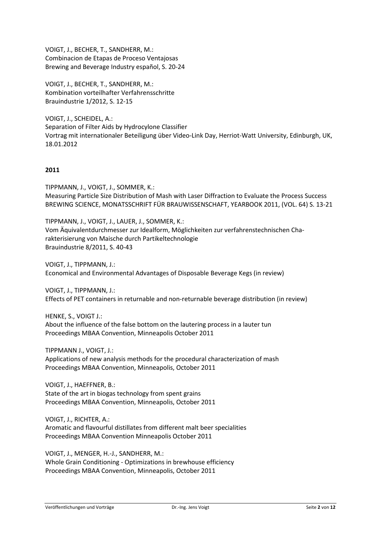VOIGT, J., BECHER, T., SANDHERR, M.: Combinacion de Etapas de Proceso Ventajosas Brewing and Beverage Industry español, S. 20-24

VOIGT, J., BECHER, T., SANDHERR, M.: Kombination vorteilhafter Verfahrensschritte Brauindustrie 1/2012, S. 12-15

VOIGT, J., SCHEIDEL, A.: Separation of Filter Aids by Hydrocylone Classifier Vortrag mit internationaler Beteiligung über Video-Link Day, Herriot-Watt University, Edinburgh, UK, 18.01.2012

# **2011**

TIPPMANN, J., VOIGT, J., SOMMER, K.: Measuring Particle Size Distribution of Mash with Laser Diffraction to Evaluate the Process Success BREWING SCIENCE, MONATSSCHRIFT FÜR BRAUWISSENSCHAFT, YEARBOOK 2011, (VOL. 64) S. 13-21

TIPPMANN, J., VOIGT, J., LAUER, J., SOMMER, K.: Vom Äquivalentdurchmesser zur Idealform, Möglichkeiten zur verfahrenstechnischen Charakterisierung von Maische durch Partikeltechnologie Brauindustrie 8/2011, S. 40-43

VOIGT, J., TIPPMANN, J.: Economical and Environmental Advantages of Disposable Beverage Kegs (in review)

VOIGT, J., TIPPMANN, J.: Effects of PET containers in returnable and non-returnable beverage distribution (in review)

HENKE, S., VOIGT J.: About the influence of the false bottom on the lautering process in a lauter tun Proceedings MBAA Convention, Minneapolis October 2011

TIPPMANN J., VOIGT, J.: Applications of new analysis methods for the procedural characterization of mash Proceedings MBAA Convention, Minneapolis, October 2011

VOIGT, J., HAEFFNER, B.: State of the art in biogas technology from spent grains Proceedings MBAA Convention, Minneapolis, October 2011

VOIGT, J., RICHTER, A.: Aromatic and flavourful distillates from different malt beer specialities Proceedings MBAA Convention Minneapolis October 2011

VOIGT, J., MENGER, H.-J., SANDHERR, M.: Whole Grain Conditioning - Optimizations in brewhouse efficiency Proceedings MBAA Convention, Minneapolis, October 2011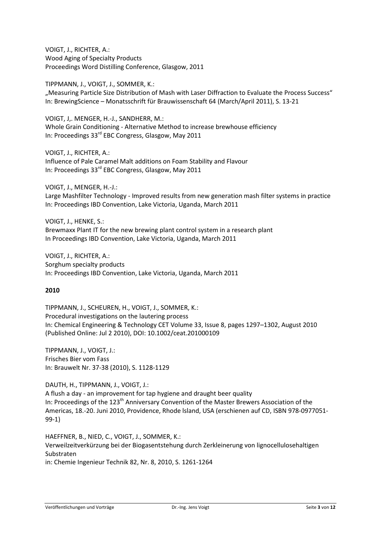VOIGT, J., RICHTER, A.: Wood Aging of Specialty Products Proceedings Word Distilling Conference, Glasgow, 2011

TIPPMANN, J., VOIGT, J., SOMMER, K.: "Measuring Particle Size Distribution of Mash with Laser Diffraction to Evaluate the Process Success" In: BrewingScience – Monatsschrift für Brauwissenschaft 64 (March/April 2011), S. 13-21

VOIGT, J,. MENGER, H.-J., SANDHERR, M.: Whole Grain Conditioning - Alternative Method to increase brewhouse efficiency In: Proceedings 33<sup>rd</sup> EBC Congress, Glasgow, May 2011

VOIGT, J., RICHTER, A.: Influence of Pale Caramel Malt additions on Foam Stability and Flavour In: Proceedings 33rd EBC Congress, Glasgow, May 2011

VOIGT, J., MENGER, H.-J.: Large Mashfilter Technology - Improved results from new generation mash filter systems in practice In: Proceedings IBD Convention, Lake Victoria, Uganda, March 2011

VOIGT, J., HENKE, S.: Brewmaxx Plant IT for the new brewing plant control system in a research plant In Proceedings IBD Convention, Lake Victoria, Uganda, March 2011

VOIGT, J., RICHTER, A.: Sorghum specialty products In: Proceedings IBD Convention, Lake Victoria, Uganda, March 2011

# **2010**

TIPPMANN, J., SCHEUREN, H., VOIGT, J., SOMMER, K.: Procedural investigations on the lautering process In: Chemical Engineering & Technology CET Volume 33, Issue 8, pages 1297–1302, August 2010 (Published Online: Jul 2 2010), DOI: 10.1002/ceat.201000109

TIPPMANN, J., VOIGT, J.: Frisches Bier vom Fass In: Brauwelt Nr. 37-38 (2010), S. 1128-1129

DAUTH, H., TIPPMANN, J., VOIGT, J.:

A flush a day - an improvement for tap hygiene and draught beer quality In: Proceedings of the 123<sup>th</sup> Anniversary Convention of the Master Brewers Association of the Americas, 18.-20. Juni 2010, Providence, Rhode lsland, USA (erschienen auf CD, ISBN 978-0977051- 99-1)

HAEFFNER, B., NIED, C., VOIGT, J., SOMMER, K.: Verweilzeitverkürzung bei der Biogasentstehung durch Zerkleinerung von lignocellulosehaltigen Substraten in: Chemie Ingenieur Technik 82, Nr. 8, 2010, S. 1261-1264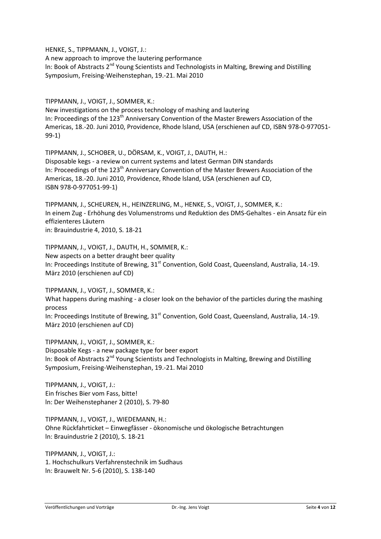HENKE, S., TIPPMANN, J., VOIGT, J.:

A new approach to improve the lautering performance In: Book of Abstracts 2<sup>nd</sup> Young Scientists and Technologists in Malting, Brewing and Distilling Symposium, Freising-Weihenstephan, 19.-21. Mai 2010

TIPPMANN, J., VOIGT, J., SOMMER, K.: New investigations on the process technology of mashing and lautering In: Proceedings of the 123<sup>th</sup> Anniversary Convention of the Master Brewers Association of the Americas, 18.-20. Juni 2010, Providence, Rhode lsland, USA (erschienen auf CD, ISBN 978-0-977051- 99-1)

TIPPMANN, J., SCHOBER, U., DÖRSAM, K., VOIGT, J., DAUTH, H.: Disposable kegs - a review on current systems and latest German DIN standards In: Proceedings of the 123<sup>th</sup> Anniversary Convention of the Master Brewers Association of the Americas, 18.-20. Juni 2010, Providence, Rhode lsland, USA (erschienen auf CD, ISBN 978-0-977051-99-1)

TIPPMANN, J., SCHEUREN, H., HEINZERLING, M., HENKE, S., VOIGT, J., SOMMER, K.: In einem Zug - Erhöhung des Volumenstroms und Reduktion des DMS-Gehaltes - ein Ansatz für ein effizienteres Läutern in: Brauindustrie 4, 2010, S. 18-21

TIPPMANN, J., VOIGT, J., DAUTH, H., SOMMER, K.: New aspects on a better draught beer quality In: Proceedings Institute of Brewing, 31<sup>st</sup> Convention, Gold Coast, Queensland, Australia, 14.-19. März 2010 (erschienen auf CD)

TIPPMANN, J., VOIGT, J., SOMMER, K.: What happens during mashing - a closer Iook on the behavior of the particles during the mashing process In: Proceedings Institute of Brewing,  $31<sup>st</sup>$  Convention, Gold Coast, Queensland, Australia, 14.-19. März 2010 (erschienen auf CD)

TIPPMANN, J., VOIGT, J., SOMMER, K.: Disposable Kegs - a new package type for beer export In: Book of Abstracts 2<sup>nd</sup> Young Scientists and Technologists in Malting, Brewing and Distilling Symposium, Freising-Weihenstephan, 19.-21. Mai 2010

TIPPMANN, J., VOIGT, J.: Ein frisches Bier vom Fass, bitte! ln: Der Weihenstephaner 2 (2010), S. 79-80

TIPPMANN, J., VOIGT, J., WIEDEMANN, H.: Ohne Rückfahrticket – Einwegfässer - ökonomische und ökologische Betrachtungen ln: Brauindustrie 2 (2010), S. 18-21

TIPPMANN, J., VOIGT, J.: 1. Hochschulkurs Verfahrenstechnik im Sudhaus ln: Brauwelt Nr. 5-6 (2010), S. 138-140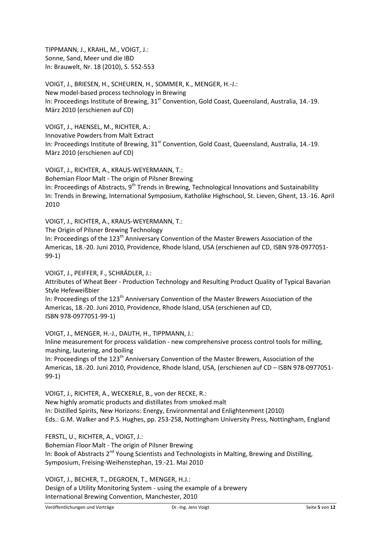TIPPMANN, J., KRAHL, M., VOIGT, J.: Sonne, Sand, Meer und die IBD ln: Brauwelt, Nr. 18 (2010), S. 552-553

VOIGT, J., BRIESEN, H., SCHEUREN, H., SOMMER, K., MENGER, H.-J.: New model-based process technology in Brewing In: Proceedings Institute of Brewing, 31<sup>st</sup> Convention, Gold Coast, Queensland, Australia, 14.-19. März 2010 (erschienen auf CD)

VOIGT, J., HAENSEL, M., RICHTER, A.: Innovative Powders from Malt Extract In: Proceedings Institute of Brewing, 31<sup>st</sup> Convention, Gold Coast, Queensland, Australia, 14.-19. März 2010 (erschienen auf CD)

VOIGT, J., RICHTER, A., KRAUS-WEYERMANN, T.: Bohemian Floor Malt - The origin of Pilsner Brewing In: Proceedings of Abstracts, 9<sup>th</sup> Trends in Brewing, Technological Innovations and Sustainability In: Trends in Brewing, International Symposium, Katholike Highschool, St. Lieven, Ghent, 13.-16. April 2010

VOIGT, J., RICHTER, A., KRAUS-WEYERMANN, T.:

The Origin of Pilsner Brewing Technology

In: Proceedings of the  $123<sup>th</sup>$  Anniversary Convention of the Master Brewers Association of the Americas, 18.-20. Juni 2010, Providence, Rhode lsland, USA (erschienen auf CD, ISBN 978-0977051- 99-1)

VOIGT, J., PEIFFER, F., SCHRÄDLER, J.:

Attributes of Wheat Beer - Production Technology and Resulting Product Quality of Typical Bavarian Style Hefeweißbier

In: Proceedings of the 123<sup>th</sup> Anniversary Convention of the Master Brewers Association of the Americas, 18.-20. Juni 2010, Providence, Rhode lsland, USA (erschienen auf CD, ISBN 978-0977051-99-1)

VOIGT, J., MENGER, H.-J., DAUTH, H., TIPPMANN, J.: lnline measurement for process validation - new comprehensive process control tools for milling, mashing, lautering, and boiling In: Proceedings of the 123<sup>th</sup> Anniversary Convention of the Master Brewers, Association of the Americas, 18.-20. Juni 2010, Providence, Rhode lsland, USA, (erschienen auf CD – ISBN 978-0977051- 99-1)

VOIGT, J., RICHTER, A., WECKERLE, B., von der RECKE, R.: New highly aromatic products and distillates from smoked malt ln: Distilled Spirits, New Horizons: Energy, Environmental and Enlightenment (2010) Eds.: G.M. Walker and P.S. Hughes, pp. 253-258, Nottingham University Press, Nottingham, England

FERSTL, U., RICHTER, A., VOIGT, J.: Bohemian Floor Malt - The origin of Pilsner Brewing In: Book of Abstracts 2<sup>nd</sup> Young Scientists and Technologists in Malting, Brewing and Distilling, Symposium, Freising-Weihenstephan, 19.-21. Mai 2010

VOIGT, J., BECHER, T., DEGROEN, T., MENGER, H.J.: Design of a Utility Monitoring System - using the example of a brewery International Brewing Convention, Manchester, 2010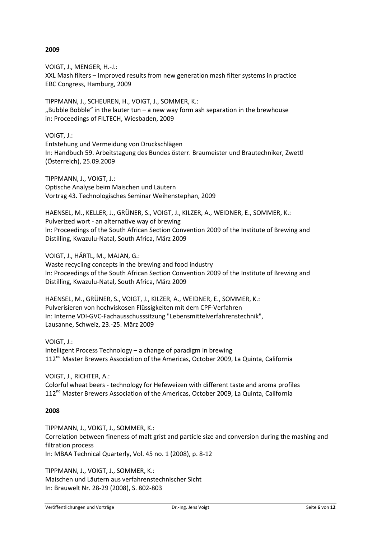## **2009**

VOIGT, J., MENGER, H.-J.: XXL Mash filters – Improved results from new generation mash filter systems in practice EBC Congress, Hamburg, 2009

TIPPMANN, J., SCHEUREN, H., VOIGT, J., SOMMER, K.: "Bubble Bobble" in the lauter tun – a new way form ash separation in the brewhouse in: Proceedings of FILTECH, Wiesbaden, 2009

## VOIGT, J.:

Entstehung und Vermeidung von Druckschlägen In: Handbuch 59. Arbeitstagung des Bundes österr. Braumeister und Brautechniker, Zwettl (Österreich), 25.09.2009

TIPPMANN, J., VOIGT, J.: Optische Analyse beim Maischen und Läutern Vortrag 43. Technologisches Seminar Weihenstephan, 2009

HAENSEL, M., KELLER, J., GRÜNER, S., VOIGT, J., KILZER, A., WEIDNER, E., SOMMER, K.: Pulverized wort - an alternative way of brewing ln: Proceedings of the South African Section Convention 2009 of the Institute of Brewing and Distilling, Kwazulu-Natal, South Africa, März 2009

VOIGT, J., HÄRTL, M., MAJAN, G.: Waste recycling concepts in the brewing and food industry ln: Proceedings of the South African Section Convention 2009 of the Institute of Brewing and Distilling, Kwazulu-Natal, South Africa, März 2009

HAENSEL, M., GRÜNER, S., VOIGT, J., KILZER, A., WEIDNER, E., SOMMER, K.: Pulverisieren von hochviskosen Flüssigkeiten mit dem CPF-Verfahren In: Interne VDI-GVC-Fachausschusssitzung "Lebensmittelverfahrenstechnik", Lausanne, Schweiz, 23.-25. März 2009

VOIGT, J.: Intelligent Process Technology – a change of paradigm in brewing 112<sup>nd</sup> Master Brewers Association of the Americas, October 2009, La Quinta, California

VOIGT, J., RICHTER, A.: Colorful wheat beers - technology for Hefeweizen with different taste and aroma profiles 112<sup>nd</sup> Master Brewers Association of the Americas, October 2009, La Quinta, California

## **2008**

TIPPMANN, J., VOIGT, J., SOMMER, K.: Correlation between fineness of malt grist and particle size and conversion during the mashing and filtration process In: MBAA Technical Quarterly, Vol. 45 no. 1 (2008), p. 8-12

TIPPMANN, J., VOIGT, J., SOMMER, K.: Maischen und Läutern aus verfahrenstechnischer Sicht In: Brauwelt Nr. 28-29 (2008), S. 802-803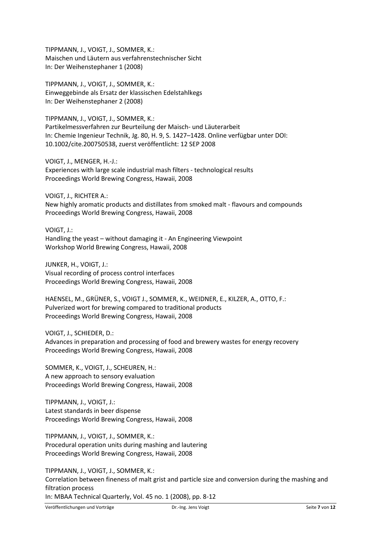TIPPMANN, J., VOIGT, J., SOMMER, K.: Maischen und Läutern aus verfahrenstechnischer Sicht In: Der Weihenstephaner 1 (2008)

TIPPMANN, J., VOIGT, J., SOMMER, K.: Einweggebinde als Ersatz der klassischen Edelstahlkegs In: Der Weihenstephaner 2 (2008)

TIPPMANN, J., VOIGT, J., SOMMER, K.: Partikelmessverfahren zur Beurteilung der Maisch- und Läuterarbeit In: Chemie Ingenieur Technik, Jg. 80, H. 9, S. 1427–1428. Online verfügbar unter DOI: 10.1002/cite.200750538, zuerst veröffentlicht: 12 SEP 2008

VOIGT, J., MENGER, H.-J.: Experiences with large scale industrial mash filters - technological results Proceedings World Brewing Congress, Hawaii, 2008

VOIGT, J., RICHTER A.: New highly aromatic products and distillates from smoked malt - flavours and compounds Proceedings World Brewing Congress, Hawaii, 2008

VOIGT, J.: Handling the yeast – without damaging it - An Engineering Viewpoint Workshop World Brewing Congress, Hawaii, 2008

JUNKER, H., VOIGT, J.: Visual recording of process control interfaces Proceedings World Brewing Congress, Hawaii, 2008

HAENSEL, M., GRÜNER, S., VOIGT J., SOMMER, K., WEIDNER, E., KILZER, A., OTTO, F.: Pulverized wort for brewing compared to traditional products Proceedings World Brewing Congress, Hawaii, 2008

VOIGT, J., SCHIEDER, D.: Advances in preparation and processing of food and brewery wastes for energy recovery Proceedings World Brewing Congress, Hawaii, 2008

SOMMER, K., VOIGT, J., SCHEUREN, H.: A new approach to sensory evaluation Proceedings World Brewing Congress, Hawaii, 2008

TIPPMANN, J., VOIGT, J.: Latest standards in beer dispense Proceedings World Brewing Congress, Hawaii, 2008

TIPPMANN, J., VOIGT, J., SOMMER, K.: Procedural operation units during mashing and lautering Proceedings World Brewing Congress, Hawaii, 2008

TIPPMANN, J., VOIGT, J., SOMMER, K.: Correlation between fineness of malt grist and particle size and conversion during the mashing and filtration process In: MBAA Technical Quarterly, Vol. 45 no. 1 (2008), pp. 8-12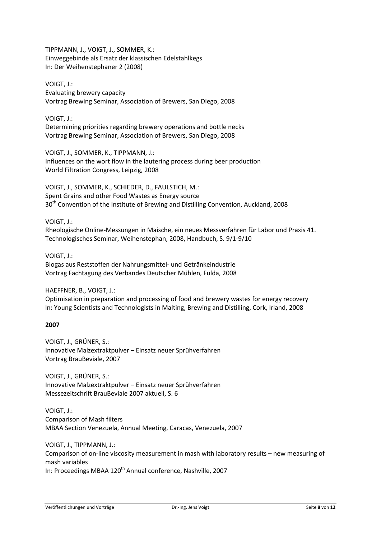TIPPMANN, J., VOIGT, J., SOMMER, K.: Einweggebinde als Ersatz der klassischen Edelstahlkegs In: Der Weihenstephaner 2 (2008)

VOIGT, J.: Evaluating brewery capacity Vortrag Brewing Seminar, Association of Brewers, San Diego, 2008

VOIGT, J.:

Determining priorities regarding brewery operations and bottle necks Vortrag Brewing Seminar, Association of Brewers, San Diego, 2008

VOIGT, J., SOMMER, K., TIPPMANN, J.: Influences on the wort flow in the lautering process during beer production World Filtration Congress, Leipzig, 2008

VOIGT, J., SOMMER, K., SCHIEDER, D., FAULSTICH, M.: Spent Grains and other Food Wastes as Energy source 30<sup>th</sup> Convention of the Institute of Brewing and Distilling Convention, Auckland, 2008

## VOIGT, J.:

Rheologische Online-Messungen in Maische, ein neues Messverfahren für Labor und Praxis 41. Technologisches Seminar, Weihenstephan, 2008, Handbuch, S. 9/1-9/10

## VOIGT, J.:

Biogas aus Reststoffen der Nahrungsmittel- und Getränkeindustrie Vortrag Fachtagung des Verbandes Deutscher Mühlen, Fulda, 2008

## HAEFFNER, B., VOIGT, J.:

Optimisation in preparation and processing of food and brewery wastes for energy recovery ln: Young Scientists and Technologists in Malting, Brewing and Distilling, Cork, Irland, 2008

## **2007**

VOIGT, J., GRÜNER, S.: Innovative Malzextraktpulver – Einsatz neuer Sprühverfahren Vortrag BrauBeviale, 2007

VOIGT, J., GRÜNER, S.: Innovative Malzextraktpulver – Einsatz neuer Sprühverfahren Messezeitschrift BrauBeviale 2007 aktuell, S. 6

VOIGT, J.: Comparison of Mash filters MBAA Section Venezuela, Annual Meeting, Caracas, Venezuela, 2007

VOIGT, J., TIPPMANN, J.: Comparison of on-line viscosity measurement in mash with laboratory results – new measuring of mash variables In: Proceedings MBAA 120<sup>th</sup> Annual conference, Nashville, 2007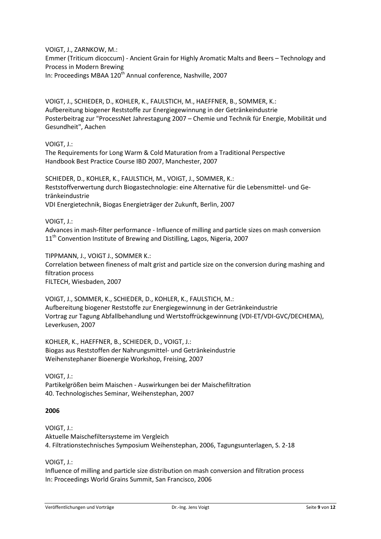VOIGT, J., ZARNKOW, M.: Emmer (Triticum dicoccum) - Ancient Grain for Highly Aromatic Malts and Beers – Technology and Process in Modern Brewing In: Proceedings MBAA 120<sup>th</sup> Annual conference, Nashville, 2007

VOIGT, J., SCHIEDER, D., KOHLER, K., FAULSTICH, M., HAEFFNER, B., SOMMER, K.: Aufbereitung biogener Reststoffe zur Energiegewinnung in der Getränkeindustrie Posterbeitrag zur "ProcessNet Jahrestagung 2007 – Chemie und Technik für Energie, Mobilität und Gesundheit", Aachen

VOIGT, J.:

The Requirements for Long Warm & Cold Maturation from a Traditional Perspective Handbook Best Practice Course IBD 2007, Manchester, 2007

SCHIEDER, D., KOHLER, K., FAULSTICH, M., VOIGT, J., SOMMER, K.: Reststoffverwertung durch Biogastechnologie: eine Alternative für die Lebensmittel- und Getränkeindustrie VDI Energietechnik, Biogas Energieträger der Zukunft, Berlin, 2007

VOIGT, J.:

Advances in mash-filter performance - Influence of milling and particle sizes on mash conversion 11<sup>th</sup> Convention Institute of Brewing and Distilling, Lagos, Nigeria, 2007

TIPPMANN, J., VOIGT J., SOMMER K.: Correlation between fineness of malt grist and particle size on the conversion during mashing and filtration process FILTECH, Wiesbaden, 2007

VOIGT, J., SOMMER, K., SCHIEDER, D., KOHLER, K., FAULSTICH, M.: Aufbereitung biogener Reststoffe zur Energiegewinnung in der Getränkeindustrie Vortrag zur Tagung Abfallbehandlung und Wertstoffrückgewinnung (VDI-ET/VDI-GVC/DECHEMA), Leverkusen, 2007

KOHLER, K., HAEFFNER, B., SCHIEDER, D., VOIGT, J.: Biogas aus Reststoffen der Nahrungsmittel- und Getränkeindustrie Weihenstephaner Bioenergie Workshop, Freising, 2007

VOIGT, J.: Partikelgrößen beim Maischen - Auswirkungen bei der Maischefiltration 40. Technologisches Seminar, Weihenstephan, 2007

## **2006**

VOIGT, J.: Aktuelle Maischefiltersysteme im Vergleich 4. Filtrationstechnisches Symposium Weihenstephan, 2006, Tagungsunterlagen, S. 2-18

VOIGT, J.:

Influence of milling and particle size distribution on mash conversion and filtration process In: Proceedings World Grains Summit, San Francisco, 2006

Veröffentlichungen und Vorträge Dr.-Ing. Jens Voigt Seite **9** von **12**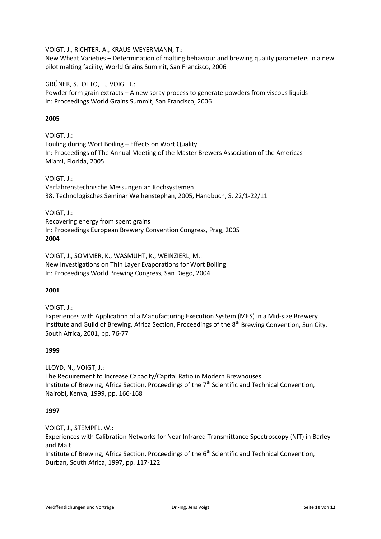VOIGT, J., RICHTER, A., KRAUS-WEYERMANN, T.:

New Wheat Varieties – Determination of malting behaviour and brewing quality parameters in a new pilot malting facility, World Grains Summit, San Francisco, 2006

GRÜNER, S., OTTO, F., VOIGT J.:

Powder form grain extracts – A new spray process to generate powders from viscous liquids In: Proceedings World Grains Summit, San Francisco, 2006

# **2005**

VOIGT, J.: Fouling during Wort Boiling – Effects on Wort Quality In: Proceedings of The Annual Meeting of the Master Brewers Association of the Americas Miami, Florida, 2005

VOIGT, J.: Verfahrenstechnische Messungen an Kochsystemen 38. Technologisches Seminar Weihenstephan, 2005, Handbuch, S. 22/1-22/11

VOIGT, J.: Recovering energy from spent grains In: Proceedings European Brewery Convention Congress, Prag, 2005 **2004**

VOIGT, J., SOMMER, K., WASMUHT, K., WEINZIERL, M.: [New Investigations on Thin Layer Evaporations for Wort Boiling](http://www.wzw.tum.de/blm/mak/mak/WBC_posters.pdf) In: Proceedings World Brewing Congress, San Diego, 2004

## **2001**

VOIGT, J.:

Experiences with Application of a Manufacturing Execution System (MES) in a Mid-size Brewery Institute and Guild of Brewing, Africa Section, Proceedings of the 8<sup>th</sup> Brewing Convention, Sun City, South Africa, 2001, pp. 76-77

## **1999**

LLOYD, N., VOIGT, J.: The Requirement to Increase Capacity/Capital Ratio in Modern Brewhouses Institute of Brewing, Africa Section, Proceedings of the  $7<sup>th</sup>$  Scientific and Technical Convention, Nairobi, Kenya, 1999, pp. 166-168

# **1997**

VOIGT, J., STEMPFL, W.: Experiences with Calibration Networks for Near Infrared Transmittance Spectroscopy (NIT) in Barley and Malt

Institute of Brewing, Africa Section, Proceedings of the 6<sup>th</sup> Scientific and Technical Convention, Durban, South Africa, 1997, pp. 117-122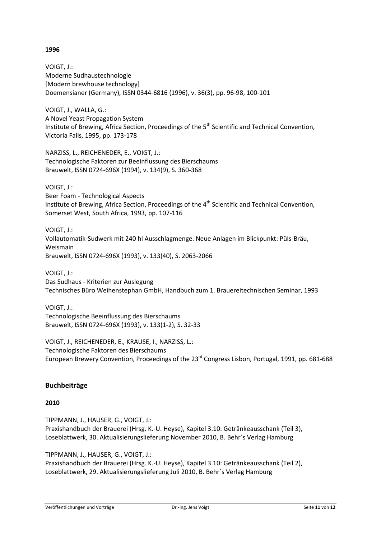## **1996**

VOIGT, J.: Moderne Sudhaustechnologie [Modern brewhouse technology] Doemensianer (Germany), ISSN 0344-6816 (1996), v. 36(3), pp. 96-98, 100-101

VOIGT, J., WALLA, G.: A Novel Yeast Propagation System Institute of Brewing, Africa Section, Proceedings of the  $5<sup>th</sup>$  Scientific and Technical Convention, Victoria Falls, 1995, pp. 173-178

NARZISS, L., REICHENEDER, E., VOIGT, J.: Technologische Faktoren zur Beeinflussung des Bierschaums Brauwelt, ISSN 0724-696X (1994), v. 134(9), S. 360-368

VOIGT, J.:

Beer Foam - Technological Aspects Institute of Brewing, Africa Section, Proceedings of the 4<sup>th</sup> Scientific and Technical Convention, Somerset West, South Africa, 1993, pp. 107-116

VOIGT, J.: Vollautomatik-Sudwerk mit 240 hl Ausschlagmenge. Neue Anlagen im Blickpunkt: Püls-Bräu, Weismain Brauwelt, ISSN 0724-696X (1993), v. 133(40), S. 2063-2066

VOIGT, J.: Das Sudhaus - Kriterien zur Auslegung Technisches Büro Weihenstephan GmbH, Handbuch zum 1. Brauereitechnischen Seminar, 1993

VOIGT, J.: Technologische Beeinflussung des Bierschaums Brauwelt, ISSN 0724-696X (1993), v. 133(1-2), S. 32-33

VOIGT, J., REICHENEDER, E., KRAUSE, I., NARZISS, L.: Technologische Faktoren des Bierschaums European Brewery Convention, Proceedings of the 23<sup>rd</sup> Congress Lisbon, Portugal, 1991, pp. 681-688

# **Buchbeiträge**

## **2010**

TIPPMANN, J., HAUSER, G., VOIGT, J.: Praxishandbuch der Brauerei (Hrsg. K.-U. Heyse), Kapitel 3.10: Getränkeausschank (Teil 3), Loseblattwerk, 30. Aktualisierungslieferung November 2010, B. Behr´s Verlag Hamburg

TIPPMANN, J., HAUSER, G., VOIGT, J.:

Praxishandbuch der Brauerei (Hrsg. K.-U. Heyse), Kapitel 3.10: Getränkeausschank (Teil 2), Loseblattwerk, 29. Aktualisierungslieferung Juli 2010, B. Behr´s Verlag Hamburg

Veröffentlichungen und Vorträge Dr.-Ing. Jens Voigt Seite **11** von **12**